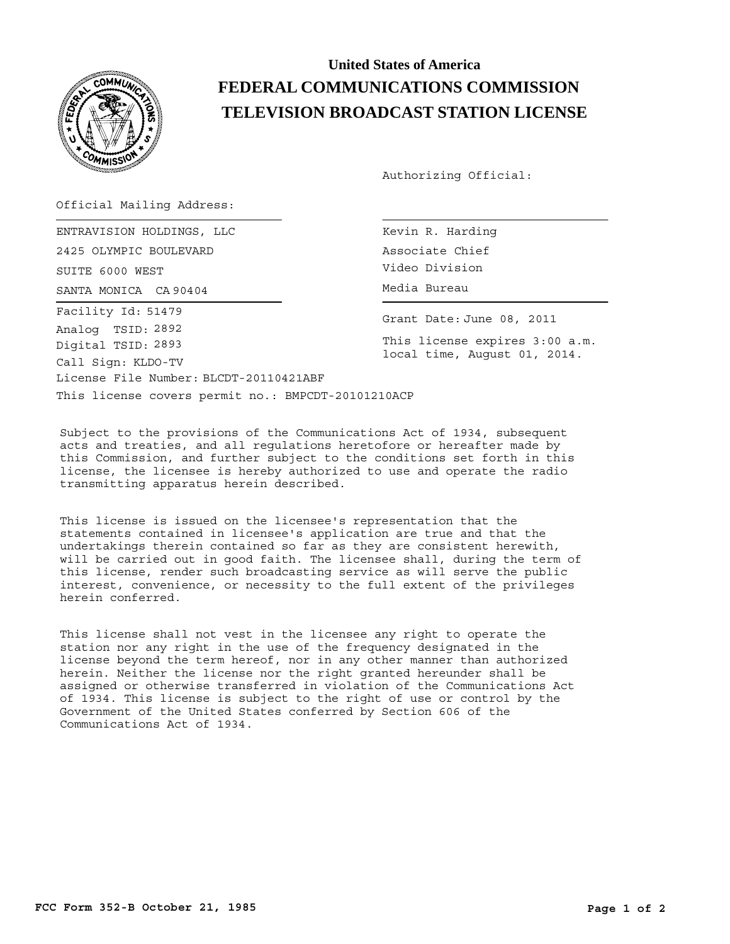

## **United States of America FEDERAL COMMUNICATIONS COMMISSION TELEVISION BROADCAST STATION LICENSE**

Authorizing Official:

Official Mailing Address:

SANTA MONICA CA 90404 (CA 1994) CONTROLLER Media Bureau ENTRAVISION HOLDINGS, LLC 2425 OLYMPIC BOULEVARD SUITE 6000 WEST License File Number: BLCDT-20110421ABF Call Sign: KLDO-TV Facility Id: 51479 Digital TSID: 2893 Analog TSID: 2892

Kevin R. Harding Associate Chief Video Division

Grant Date: June 08, 2011

This license expires 3:00 a.m. local time, August 01, 2014.

This license covers permit no.: BMPCDT-20101210ACP

Subject to the provisions of the Communications Act of 1934, subsequent acts and treaties, and all regulations heretofore or hereafter made by this Commission, and further subject to the conditions set forth in this license, the licensee is hereby authorized to use and operate the radio transmitting apparatus herein described.

This license is issued on the licensee's representation that the statements contained in licensee's application are true and that the undertakings therein contained so far as they are consistent herewith, will be carried out in good faith. The licensee shall, during the term of this license, render such broadcasting service as will serve the public interest, convenience, or necessity to the full extent of the privileges herein conferred.

This license shall not vest in the licensee any right to operate the station nor any right in the use of the frequency designated in the license beyond the term hereof, nor in any other manner than authorized herein. Neither the license nor the right granted hereunder shall be assigned or otherwise transferred in violation of the Communications Act of 1934. This license is subject to the right of use or control by the Government of the United States conferred by Section 606 of the Communications Act of 1934.